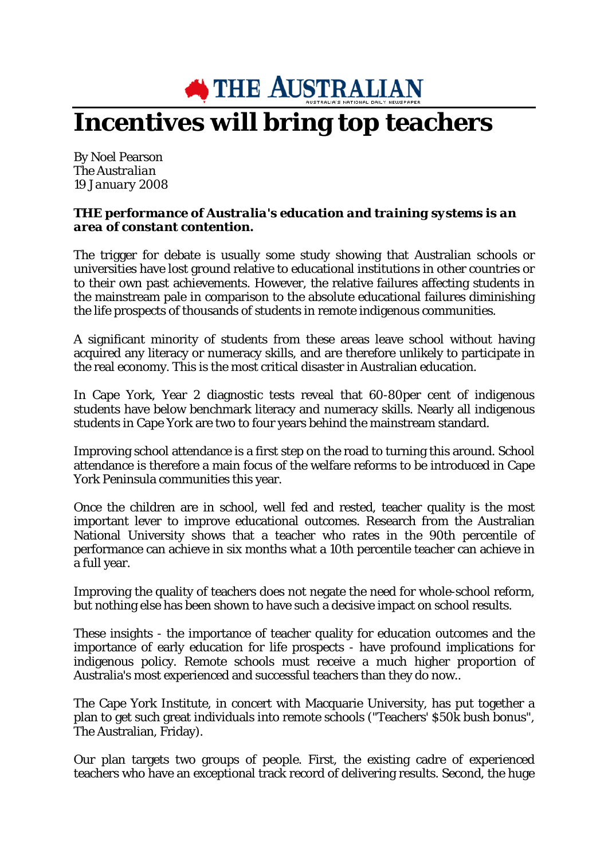## **NO THE AUSTRALIAN Incentives will bring top teachers**

By Noel Pearson *The Australian 19 January 2008*

## *THE performance of Australia's education and training systems is an area of constant contention.*

The trigger for debate is usually some study showing that Australian schools or universities have lost ground relative to educational institutions in other countries or to their own past achievements. However, the relative failures affecting students in the mainstream pale in comparison to the absolute educational failures diminishing the life prospects of thousands of students in remote indigenous communities.

A significant minority of students from these areas leave school without having acquired any literacy or numeracy skills, and are therefore unlikely to participate in the real economy. This is the most critical disaster in Australian education.

In Cape York, Year 2 diagnostic tests reveal that 60-80per cent of indigenous students have below benchmark literacy and numeracy skills. Nearly all indigenous students in Cape York are two to four years behind the mainstream standard.

Improving school attendance is a first step on the road to turning this around. School attendance is therefore a main focus of the welfare reforms to be introduced in Cape York Peninsula communities this year.

Once the children are in school, well fed and rested, teacher quality is the most important lever to improve educational outcomes. Research from the Australian National University shows that a teacher who rates in the 90th percentile of performance can achieve in six months what a 10th percentile teacher can achieve in a full year.

Improving the quality of teachers does not negate the need for whole-school reform, but nothing else has been shown to have such a decisive impact on school results.

These insights - the importance of teacher quality for education outcomes and the importance of early education for life prospects - have profound implications for indigenous policy. Remote schools must receive a much higher proportion of Australia's most experienced and successful teachers than they do now..

The Cape York Institute, in concert with Macquarie University, has put together a plan to get such great individuals into remote schools ("Teachers' \$50k bush bonus", The Australian, Friday).

Our plan targets two groups of people. First, the existing cadre of experienced teachers who have an exceptional track record of delivering results. Second, the huge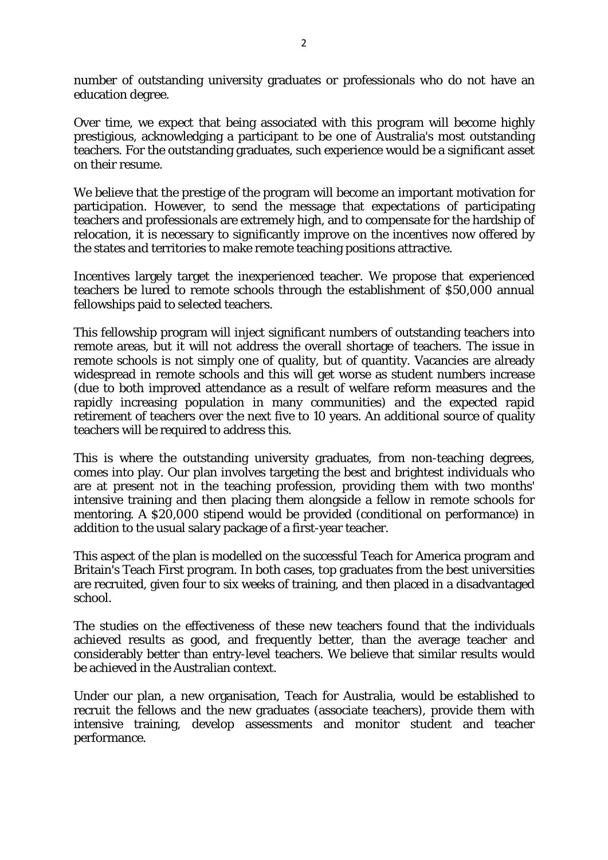number of outstanding university graduates or professionals who do not have an education degree.

Over time, we expect that being associated with this program will become highly prestigious, acknowledging a participant to be one of Australia's most outstanding teachers. For the outstanding graduates, such experience would be a significant asset on their resume.

We believe that the prestige of the program will become an important motivation for participation. However, to send the message that expectations of participating teachers and professionals are extremely high, and to compensate for the hardship of relocation, it is necessary to significantly improve on the incentives now offered by the states and territories to make remote teaching positions attractive.

Incentives largely target the inexperienced teacher. We propose that experienced teachers be lured to remote schools through the establishment of \$50,000 annual fellowships paid to selected teachers.

This fellowship program will inject significant numbers of outstanding teachers into remote areas, but it will not address the overall shortage of teachers. The issue in remote schools is not simply one of quality, but of quantity. Vacancies are already widespread in remote schools and this will get worse as student numbers increase (due to both improved attendance as a result of welfare reform measures and the rapidly increasing population in many communities) and the expected rapid retirement of teachers over the next five to 10 years. An additional source of quality teachers will be required to address this.

This is where the outstanding university graduates, from non-teaching degrees, comes into play. Our plan involves targeting the best and brightest individuals who are at present not in the teaching profession, providing them with two months' intensive training and then placing them alongside a fellow in remote schools for mentoring. A \$20,000 stipend would be provided (conditional on performance) in addition to the usual salary package of a first-year teacher.

This aspect of the plan is modelled on the successful Teach for America program and Britain's Teach First program. In both cases, top graduates from the best universities are recruited, given four to six weeks of training, and then placed in a disadvantaged school.

The studies on the effectiveness of these new teachers found that the individuals achieved results as good, and frequently better, than the average teacher and considerably better than entry-level teachers. We believe that similar results would be achieved in the Australian context.

Under our plan, a new organisation, Teach for Australia, would be established to recruit the fellows and the new graduates (associate teachers), provide them with intensive training, develop assessments and monitor student and teacher performance.